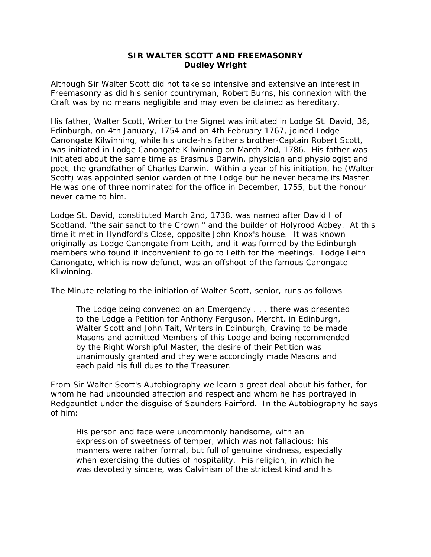## **SIR WALTER SCOTT AND FREEMASONRY Dudley Wright**

Although Sir Walter Scott did not take so intensive and extensive an interest in Freemasonry as did his senior countryman, Robert Burns, his connexion with the Craft was by no means negligible and may even be claimed as hereditary.

His father, Walter Scott, Writer to the Signet was initiated in Lodge St. David, 36, Edinburgh, on 4th January, 1754 and on 4th February 1767, joined Lodge Canongate Kilwinning, while his uncle-his father's brother-Captain Robert Scott, was initiated in Lodge Canongate Kilwinning on March 2nd, 1786. His father was initiated about the same time as Erasmus Darwin, physician and physiologist and poet, the grandfather of Charles Darwin. Within a year of his initiation, he (Walter Scott) was appointed senior warden of the Lodge but he never became its Master. He was one of three nominated for the office in December, 1755, but the honour never came to him.

Lodge St. David, constituted March 2nd, 1738, was named after David I of Scotland, "the sair sanct to the Crown " and the builder of Holyrood Abbey. At this time it met in Hyndford's Close, opposite John Knox's house. It was known originally as Lodge Canongate from Leith, and it was formed by the Edinburgh members who found it inconvenient to go to Leith for the meetings. Lodge Leith Canongate, which is now defunct, was an offshoot of the famous Canongate Kilwinning.

The Minute relating to the initiation of Walter Scott, senior, runs as follows

The Lodge being convened on an Emergency . . . there was presented to the Lodge a Petition for Anthony Ferguson, Mercht. in Edinburgh, Walter Scott and John Tait, Writers in Edinburgh, Craving to be made Masons and admitted Members of this Lodge and being recommended by the Right Worshipful Master, the desire of their Petition was unanimously granted and they were accordingly made Masons and each paid his full dues to the Treasurer.

From Sir Walter Scott's *Autobiography* we learn a great deal about his father, for whom he had unbounded affection and respect and whom he has portrayed in *Redgauntlet* under the disguise of Saunders Fairford. In the *Autobiography* he says of him:

His person and face were uncommonly handsome, with an expression of sweetness of temper, which was not fallacious; his manners were rather formal, but full of genuine kindness, especially when exercising the duties of hospitality. His religion, in which he was devotedly sincere, was Calvinism of the strictest kind and his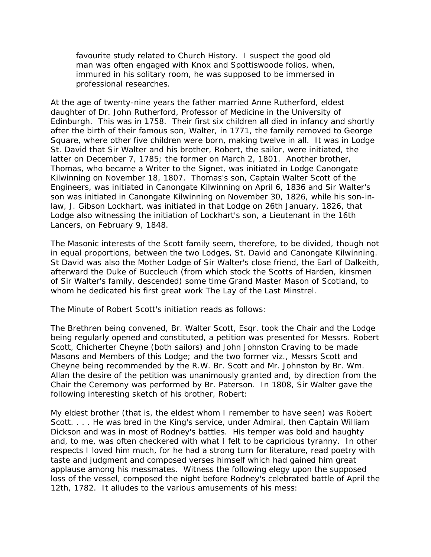favourite study related to Church History. I suspect the good old man was often engaged with Knox and Spottiswoode folios, when, immured in his solitary room, he was supposed to be immersed in professional researches.

At the age of twenty-nine years the father married Anne Rutherford, eldest daughter of Dr. John Rutherford, Professor of Medicine in the University of Edinburgh. This was in 1758. Their first six children all died in infancy and shortly after the birth of their famous son, Walter, in 1771, the family removed to George Square, where other five children were born, making twelve in all. It was in Lodge St. David that Sir Walter and his brother, Robert, the sailor, were initiated, the latter on December 7, 1785; the former on March 2, 1801. Another brother, Thomas, who became a Writer to the Signet, was initiated in Lodge Canongate Kilwinning on November 18, 1807. Thomas's son, Captain Walter Scott of the Engineers, was initiated in Canongate Kilwinning on April 6, 1836 and Sir Walter's son was initiated in Canongate Kilwinning on November 30, 1826, while his son-inlaw, J. Gibson Lockhart, was initiated in that Lodge on 26th January, 1826, that Lodge also witnessing the initiation of Lockhart's son, a Lieutenant in the 16th Lancers, on February 9, 1848.

The Masonic interests of the Scott family seem, therefore, to be divided, though not in equal proportions, between the two Lodges, St. David and Canongate Kilwinning. St David was also the Mother Lodge of Sir Walter's close friend, the Earl of Dalkeith, afterward the Duke of Buccleuch (from which stock the Scotts of Harden, kinsmen of Sir Walter's family, descended) some time Grand Master Mason of Scotland, to whom he dedicated his first great work *The Lay of the Last Minstrel.*

The Minute of Robert Scott's initiation reads as follows:

The Brethren being convened, Br. Walter Scott, Esqr. took the Chair and the Lodge being regularly opened and constituted, a petition was presented for Messrs. Robert Scott, Chicherter Cheyne (both sailors) and John Johnston Craving to be made Masons and Members of this Lodge; and the two former viz., Messrs Scott and Cheyne being recommended by the R.W. Br. Scott and Mr. Johnston by Br. Wm. Allan the desire of the petition was unanimously granted and, by direction from the Chair the Ceremony was performed by Br. Paterson. In 1808, Sir Walter gave the following interesting sketch of his brother, Robert:

My eldest brother (that is, the eldest whom I remember to have seen) was Robert Scott. . . . He was bred in the King's service, under Admiral, then Captain William Dickson and was in most of Rodney's battles. His temper was bold and haughty and, to me, was often checkered with what I felt to be capricious tyranny. In other respects I loved him much, for he had a strong turn for literature, read poetry with taste and judgment and composed verses himself which had gained him great applause among his messmates. Witness the following elegy upon the supposed loss of the vessel, composed the night before Rodney's celebrated battle of April the 12th, 1782. It alludes to the various amusements of his mess: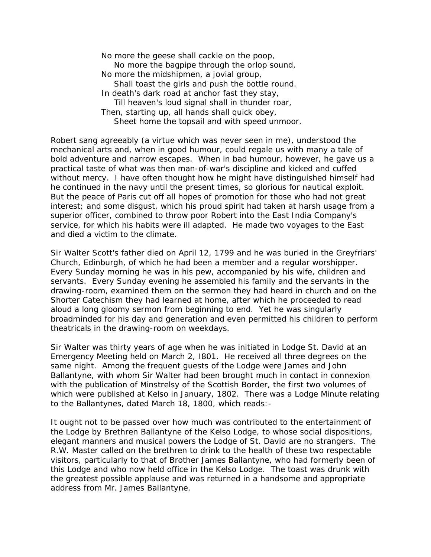No more the geese shall cackle on the poop, No more the bagpipe through the orlop sound, No more the midshipmen, a jovial group, Shall toast the girls and push the bottle round. In death's dark road at anchor fast they stay, Till heaven's loud signal shall in thunder roar, Then, starting up, all hands shall quick obey, Sheet home the topsail and with speed unmoor.

Robert sang agreeably (a virtue which was never seen in me), understood the mechanical arts and, when in good humour, could regale us with many a tale of bold adventure and narrow escapes. When in bad humour, however, he gave us a practical taste of what was then man-of-war's discipline and kicked and cuffed without mercy. I have often thought how he might have distinguished himself had he continued in the navy until the present times, so glorious for nautical exploit. But the peace of Paris cut off all hopes of promotion for those who had not great interest; and some disgust, which his proud spirit had taken at harsh usage from a superior officer, combined to throw poor Robert into the East India Company's service, for which his habits were ill adapted. He made two voyages to the East and died a victim to the climate.

Sir Walter Scott's father died on April 12, 1799 and he was buried in the Greyfriars' Church, Edinburgh, of which he had been a member and a regular worshipper. Every Sunday morning he was in his pew, accompanied by his wife, children and servants. Every Sunday evening he assembled his family and the servants in the drawing-room, examined them on the sermon they had heard in church and on the Shorter Catechism they had learned at home, after which he proceeded to read aloud a long gloomy sermon from beginning to end. Yet he was singularly broadminded for his day and generation and even permitted his children to perform theatricals in the drawing-room on weekdays.

Sir Walter was thirty years of age when he was initiated in Lodge St. David at an Emergency Meeting held on March 2, I801. He received all three degrees on the same night. Among the frequent guests of the Lodge were James and John Ballantyne, with whom Sir Walter had been brought much in contact in connexion with the publication of *Minstrelsy of the Scottish Border*, the first two volumes of which were published at Kelso in January, 1802. There was a Lodge Minute relating to the Ballantynes, dated March 18, 1800, which reads:-

It ought not to be passed over how much was contributed to the entertainment of the Lodge by Brethren Ballantyne of the Kelso Lodge, to whose social dispositions, elegant manners and musical powers the Lodge of St. David are no strangers. The R.W. Master called on the brethren to drink to the health of these two respectable visitors, particularly to that of Brother James Ballantyne, who had formerly been of this Lodge and who now held office in the Kelso Lodge. The toast was drunk with the greatest possible applause and was returned in a handsome and appropriate address from Mr. James Ballantyne.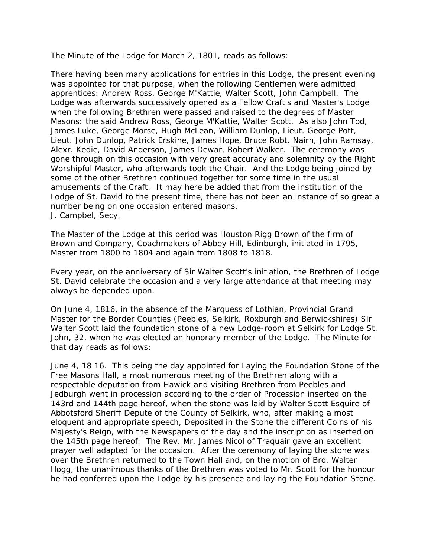The Minute of the Lodge for March 2, 1801, reads as follows:

There having been many applications for entries in this Lodge, the present evening was appointed for that purpose, when the following Gentlemen were admitted apprentices: Andrew Ross, George M'Kattie, Walter Scott, John Campbell. The Lodge was afterwards successively opened as a Fellow Craft's and Master's Lodge when the following Brethren were passed and raised to the degrees of Master Masons: the said Andrew Ross, George M'Kattie, Walter Scott. As also John Tod, James Luke, George Morse, Hugh McLean, William Dunlop, Lieut. George Pott, Lieut. John Dunlop, Patrick Erskine, James Hope, Bruce Robt. Nairn, John Ramsay, Alexr. Kedie, David Anderson, James Dewar, Robert Walker. The ceremony was gone through on this occasion with very great accuracy and solemnity by the Right Worshipful Master, who afterwards took the Chair. And the Lodge being joined by some of the other Brethren continued together for some time in the usual amusements of the Craft. It may here be added that from the institution of the Lodge of St. David to the present time, there has not been an instance of so great a number being on one occasion entered masons. J. Campbel, Secy.

The Master of the Lodge at this period was Houston Rigg Brown of the firm of Brown and Company, Coachmakers of Abbey Hill, Edinburgh, initiated in 1795, Master from 1800 to 1804 and again from 1808 to 1818.

Every year, on the anniversary of Sir Walter Scott's initiation, the Brethren of Lodge St. David celebrate the occasion and a very large attendance at that meeting may always be depended upon.

On June 4, 1816, in the absence of the Marquess of Lothian, Provincial Grand Master for the Border Counties (Peebles, Selkirk, Roxburgh and Berwickshires) Sir Walter Scott laid the foundation stone of a new Lodge-room at Selkirk for Lodge St. John, 32, when he was elected an honorary member of the Lodge. The Minute for that day reads as follows:

June 4, 18 16. This being the day appointed for Laying the Foundation Stone of the Free Masons Hall, a most numerous meeting of the Brethren along with a respectable deputation from Hawick and visiting Brethren from Peebles and Jedburgh went in procession according to the order of Procession inserted on the 143rd and 144th page hereof, when the stone was laid by Walter Scott Esquire of Abbotsford Sheriff Depute of the County of Selkirk, who, after making a most eloquent and appropriate speech, Deposited in the Stone the different Coins of his Majesty's Reign, with the Newspapers of the day and the inscription as inserted on the 145th page hereof. The Rev. Mr. James Nicol of Traquair gave an excellent prayer well adapted for the occasion. After the ceremony of laying the stone was over the Brethren returned to the Town Hall and, on the motion of Bro. Walter Hogg, the unanimous thanks of the Brethren was voted to Mr. Scott for the honour he had conferred upon the Lodge by his presence and laying the Foundation Stone.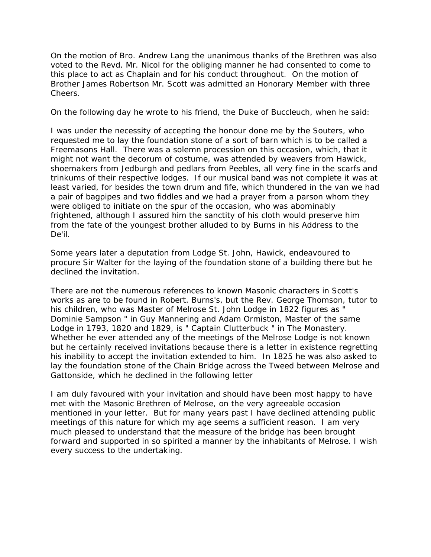On the motion of Bro. Andrew Lang the unanimous thanks of the Brethren was also voted to the Revd. Mr. Nicol for the obliging manner he had consented to come to this place to act as Chaplain and for his conduct throughout. On the motion of Brother James Robertson Mr. Scott was admitted an Honorary Member with three Cheers.

On the following day he wrote to his friend, the Duke of Buccleuch, when he said:

I was under the necessity of accepting the honour done me by the Souters, who requested me to lay the foundation stone of a sort of barn which is to be called a Freemasons Hall. There was a solemn procession on this occasion, which, that it might not want the decorum of costume, was attended by weavers from Hawick, shoemakers from Jedburgh and pedlars from Peebles, all very fine in the scarfs and trinkums of their respective lodges. If our musical band was not complete it was at least varied, for besides the town drum and fife, which thundered in the van we had a pair of bagpipes and two fiddles and we had a prayer from a parson whom they were obliged to initiate on the spur of the occasion, who was abominably frightened, although I assured him the sanctity of his cloth would preserve him from the fate of the youngest brother alluded to by Burns in his *Address to the De'il*.

Some years later a deputation from Lodge St. John, Hawick, endeavoured to procure Sir Walter for the laying of the foundation stone of a building there but he declined the invitation.

There are not the numerous references to known Masonic characters in Scott's works as are to be found in Robert. Burns's, but the Rev. George Thomson, tutor to his children, who was Master of Melrose St. John Lodge in 1822 figures as " Dominie Sampson " in *Guy Mannering* and Adam Ormiston, Master of the same Lodge in 1793, 1820 and 1829, is " Captain Clutterbuck " in *The Monastery*. Whether he ever attended any of the meetings of the Melrose Lodge is not known but he certainly received invitations because there is a letter in existence regretting his inability to accept the invitation extended to him. In 1825 he was also asked to lay the foundation stone of the Chain Bridge across the Tweed between Melrose and Gattonside, which he declined in the following letter

I am duly favoured with your invitation and should have been most happy to have met with the Masonic Brethren of Melrose, on the very agreeable occasion mentioned in your letter. But for many years past I have declined attending public meetings of this nature for which my age seems a sufficient reason. I am very much pleased to understand that the measure of the bridge has been brought forward and supported in so spirited a manner by the inhabitants of Melrose. I wish every success to the undertaking.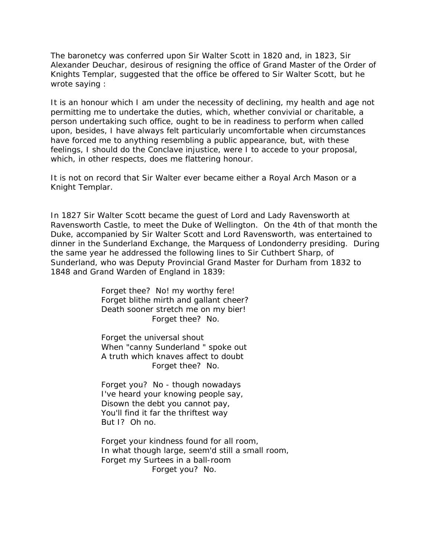The baronetcy was conferred upon Sir Walter Scott in 1820 and, in 1823, Sir Alexander Deuchar, desirous of resigning the office of Grand Master of the Order of Knights Templar, suggested that the office be offered to Sir Walter Scott, but he wrote saying :

It is an honour which I am under the necessity of declining, my health and age not permitting me to undertake the duties, which, whether convivial or charitable, a person undertaking such office, ought to be in readiness to perform when called upon, besides, I have always felt particularly uncomfortable when circumstances have forced me to anything resembling a public appearance, but, with these feelings, I should do the Conclave injustice, were I to accede to your proposal, which, in other respects, does me flattering honour.

It is not on record that Sir Walter ever became either a Royal Arch Mason or a Knight Templar.

In 1827 Sir Walter Scott became the guest of Lord and Lady Ravensworth at Ravensworth Castle, to meet the Duke of Wellington. On the 4th of that month the Duke, accompanied by Sir Walter Scott and Lord Ravensworth, was entertained to dinner in the Sunderland Exchange, the Marquess of Londonderry presiding. During the same year he addressed the following lines to Sir Cuthbert Sharp, of Sunderland, who was Deputy Provincial Grand Master for Durham from 1832 to 1848 and Grand Warden of England in 1839:

> Forget thee? No! my worthy fere! Forget blithe mirth and gallant cheer? Death sooner stretch me on my bier! Forget thee? No.

> Forget the universal shout When "canny Sunderland " spoke out A truth which knaves affect to doubt Forget thee? No.

Forget you? No - though nowadays I've heard your knowing people say, Disown the debt you cannot pay, You'll find it far the thriftest way But I? Oh no.

Forget your kindness found for all room, In what though large, seem'd still a small room, Forget my Surtees in a ball-room Forget you? No.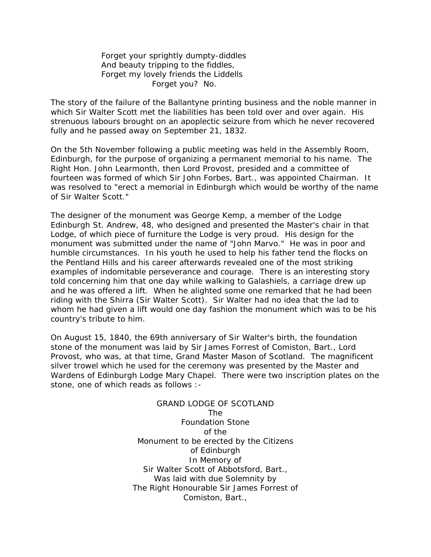Forget your sprightly dumpty-diddles And beauty tripping to the fiddles, Forget my lovely friends the Liddells Forget you? No.

The story of the failure of the Ballantyne printing business and the noble manner in which Sir Walter Scott met the liabilities has been told over and over again. His strenuous labours brought on an apoplectic seizure from which he never recovered fully and he passed away on September 21, 1832.

On the 5th November following a public meeting was held in the Assembly Room, Edinburgh, for the purpose of organizing a permanent memorial to his name. The Right Hon. John Learmonth, then Lord Provost, presided and a committee of fourteen was formed of which Sir John Forbes, Bart., was appointed Chairman. It was resolved to "erect a memorial in Edinburgh which would be worthy of the name of Sir Walter Scott."

The designer of the monument was George Kemp, a member of the Lodge Edinburgh St. Andrew, 48, who designed and presented the Master's chair in that Lodge, of which piece of furniture the Lodge is very proud. His design for the monument was submitted under the name of "John Marvo." He was in poor and humble circumstances. In his youth he used to help his father tend the flocks on the Pentland Hills and his career afterwards revealed one of the most striking examples of indomitable perseverance and courage. There is an interesting story told concerning him that one day while walking to Galashiels, a carriage drew up and he was offered a lift. When he alighted some one remarked that he had been riding with the Shirra (Sir Walter Scott). Sir Walter had no idea that the lad to whom he had given a lift would one day fashion the monument which was to be his country's tribute to him.

On August 15, 1840, the 69th anniversary of Sir Walter's birth, the foundation stone of the monument was laid by Sir James Forrest of Comiston, Bart., Lord Provost, who was, at that time, Grand Master Mason of Scotland. The magnificent silver trowel which he used for the ceremony was presented by the Master and Wardens of Edinburgh Lodge Mary Chapel. There were two inscription plates on the stone, one of which reads as follows :-

> GRAND LODGE OF SCOTLAND The Foundation Stone of the Monument to be erected by the Citizens of Edinburgh In Memory of Sir Walter Scott of Abbotsford, Bart., Was laid with due Solemnity by The Right Honourable Sir James Forrest of Comiston, Bart.,